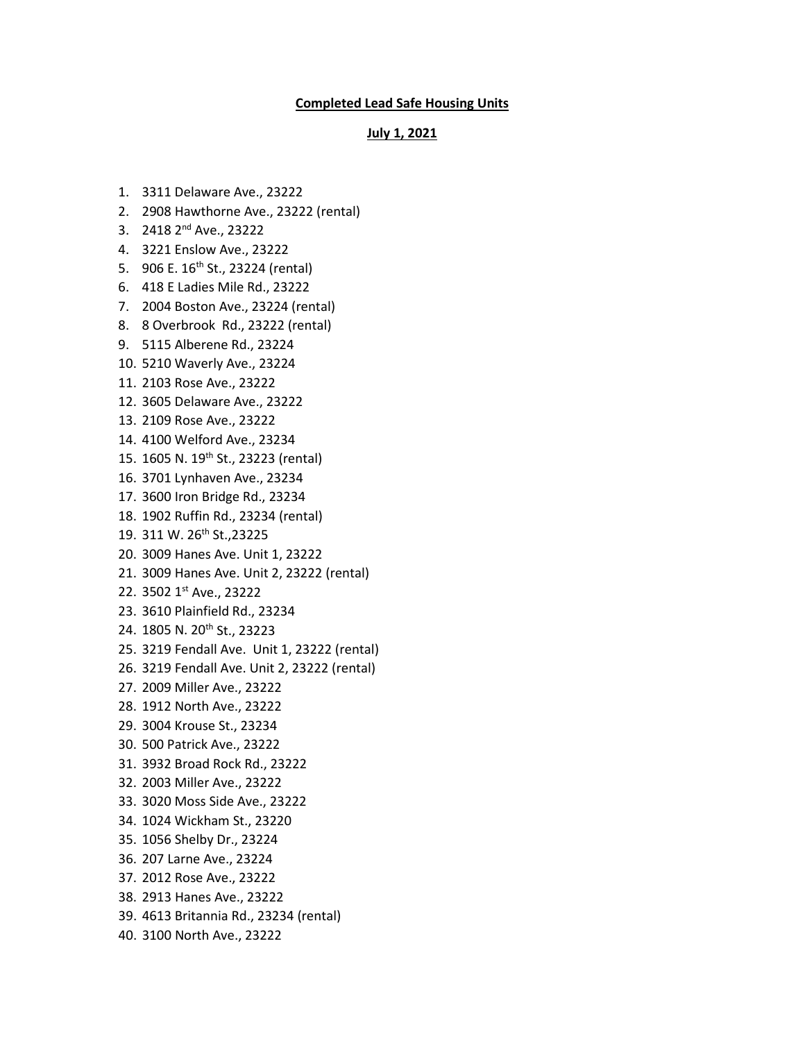## **Completed Lead Safe Housing Units**

## **July 1, 2021**

- 1. 3311 Delaware Ave., 23222
- 2. 2908 Hawthorne Ave., 23222 (rental)
- 3. 2418 2nd Ave., 23222
- 4. 3221 Enslow Ave., 23222
- 5. 906 E. 16<sup>th</sup> St., 23224 (rental)
- 6. 418 E Ladies Mile Rd., 23222
- 7. 2004 Boston Ave., 23224 (rental)
- 8. 8 Overbrook Rd., 23222 (rental)
- 9. 5115 Alberene Rd., 23224
- 10. 5210 Waverly Ave., 23224
- 11. 2103 Rose Ave., 23222
- 12. 3605 Delaware Ave., 23222
- 13. 2109 Rose Ave., 23222
- 14. 4100 Welford Ave., 23234
- 15. 1605 N. 19th St., 23223 (rental)
- 16. 3701 Lynhaven Ave., 23234
- 17. 3600 Iron Bridge Rd., 23234
- 18. 1902 Ruffin Rd., 23234 (rental)
- 19. 311 W. 26<sup>th</sup> St., 23225
- 20. 3009 Hanes Ave. Unit 1, 23222
- 21. 3009 Hanes Ave. Unit 2, 23222 (rental)
- 22. 3502 1st Ave., 23222
- 23. 3610 Plainfield Rd., 23234
- 24. 1805 N. 20th St., 23223
- 25. 3219 Fendall Ave. Unit 1, 23222 (rental)
- 26. 3219 Fendall Ave. Unit 2, 23222 (rental)
- 27. 2009 Miller Ave., 23222
- 28. 1912 North Ave., 23222
- 29. 3004 Krouse St., 23234
- 30. 500 Patrick Ave., 23222
- 31. 3932 Broad Rock Rd., 23222
- 32. 2003 Miller Ave., 23222
- 33. 3020 Moss Side Ave., 23222
- 34. 1024 Wickham St., 23220
- 35. 1056 Shelby Dr., 23224
- 36. 207 Larne Ave., 23224
- 37. 2012 Rose Ave., 23222
- 38. 2913 Hanes Ave., 23222
- 39. 4613 Britannia Rd., 23234 (rental)
- 40. 3100 North Ave., 23222